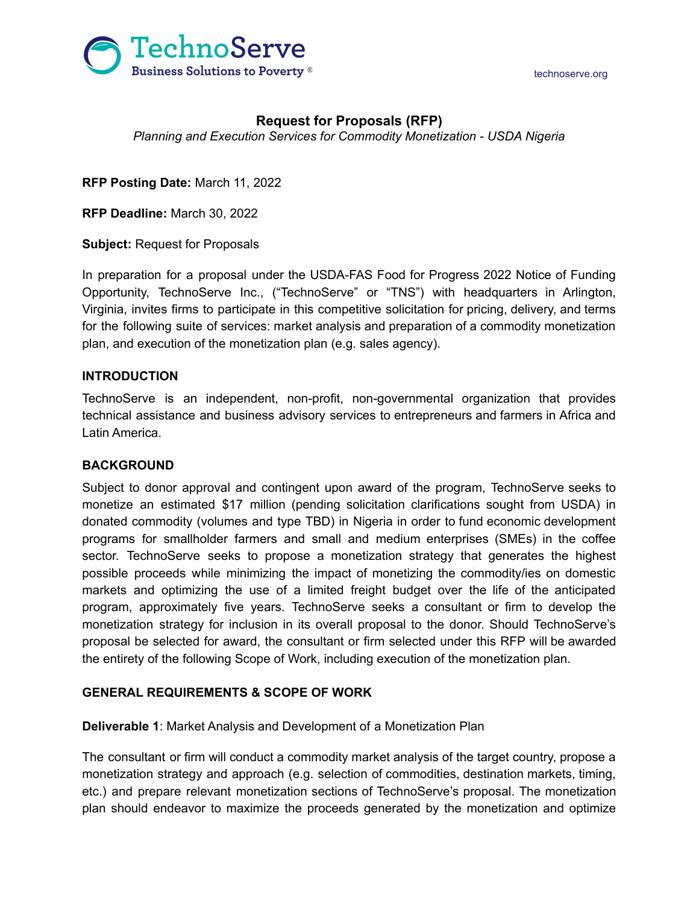



# **Request for Proposals (RFP)**

*Planning and Execution Services for Commodity Monetization - USDA Nigeria*

**RFP Posting Date:** March 11, 2022

**RFP Deadline:** March 30, 2022

**Subject:** Request for Proposals

In preparation for a proposal under the USDA-FAS Food for Progress 2022 Notice of Funding Opportunity, TechnoServe Inc., ("TechnoServe" or "TNS") with headquarters in Arlington, Virginia, invites firms to participate in this competitive solicitation for pricing, delivery, and terms for the following suite of services: market analysis and preparation of a commodity monetization plan, and execution of the monetization plan (e.g. sales agency).

## **INTRODUCTION**

TechnoServe is an independent, non-profit, non-governmental organization that provides technical assistance and business advisory services to entrepreneurs and farmers in Africa and Latin America.

## **BACKGROUND**

Subject to donor approval and contingent upon award of the program, TechnoServe seeks to monetize an estimated \$17 million (pending solicitation clarifications sought from USDA) in donated commodity (volumes and type TBD) in Nigeria in order to fund economic development programs for smallholder farmers and small and medium enterprises (SMEs) in the coffee sector. TechnoServe seeks to propose a monetization strategy that generates the highest possible proceeds while minimizing the impact of monetizing the commodity/ies on domestic markets and optimizing the use of a limited freight budget over the life of the anticipated program, approximately five years. TechnoServe seeks a consultant or firm to develop the monetization strategy for inclusion in its overall proposal to the donor. Should TechnoServe's proposal be selected for award, the consultant or firm selected under this RFP will be awarded the entirety of the following Scope of Work, including execution of the monetization plan.

## **GENERAL REQUIREMENTS & SCOPE OF WORK**

**Deliverable 1**: Market Analysis and Development of a Monetization Plan

The consultant or firm will conduct a commodity market analysis of the target country, propose a monetization strategy and approach (e.g. selection of commodities, destination markets, timing, etc.) and prepare relevant monetization sections of TechnoServe's proposal. The monetization plan should endeavor to maximize the proceeds generated by the monetization and optimize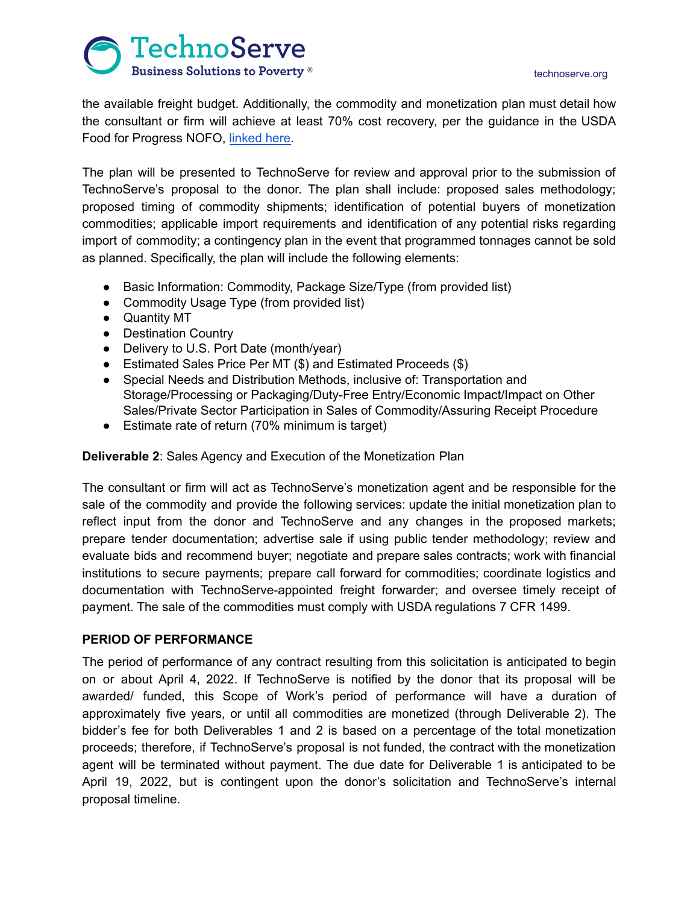#### technoserve.org



the available freight budget. Additionally, the commodity and monetization plan must detail how the consultant or firm will achieve at least 70% cost recovery, per the guidance in the USDA Food for Progress NOFO, [linked](https://www.grants.gov/web/grants/view-opportunity.html?oppId=338482) here.

The plan will be presented to TechnoServe for review and approval prior to the submission of TechnoServe's proposal to the donor. The plan shall include: proposed sales methodology; proposed timing of commodity shipments; identification of potential buyers of monetization commodities; applicable import requirements and identification of any potential risks regarding import of commodity; a contingency plan in the event that programmed tonnages cannot be sold as planned. Specifically, the plan will include the following elements:

- Basic Information: Commodity, Package Size/Type (from provided list)
- Commodity Usage Type (from provided list)
- Quantity MT
- Destination Country
- Delivery to U.S. Port Date (month/year)
- Estimated Sales Price Per MT (\$) and Estimated Proceeds (\$)
- Special Needs and Distribution Methods, inclusive of: Transportation and Storage/Processing or Packaging/Duty-Free Entry/Economic Impact/Impact on Other Sales/Private Sector Participation in Sales of Commodity/Assuring Receipt Procedure
- Estimate rate of return (70% minimum is target)

**Deliverable 2**: Sales Agency and Execution of the Monetization Plan

The consultant or firm will act as TechnoServe's monetization agent and be responsible for the sale of the commodity and provide the following services: update the initial monetization plan to reflect input from the donor and TechnoServe and any changes in the proposed markets; prepare tender documentation; advertise sale if using public tender methodology; review and evaluate bids and recommend buyer; negotiate and prepare sales contracts; work with financial institutions to secure payments; prepare call forward for commodities; coordinate logistics and documentation with TechnoServe-appointed freight forwarder; and oversee timely receipt of payment. The sale of the commodities must comply with USDA regulations 7 CFR 1499.

## **PERIOD OF PERFORMANCE**

The period of performance of any contract resulting from this solicitation is anticipated to begin on or about April 4, 2022. If TechnoServe is notified by the donor that its proposal will be awarded/ funded, this Scope of Work's period of performance will have a duration of approximately five years, or until all commodities are monetized (through Deliverable 2). The bidder's fee for both Deliverables 1 and 2 is based on a percentage of the total monetization proceeds; therefore, if TechnoServe's proposal is not funded, the contract with the monetization agent will be terminated without payment. The due date for Deliverable 1 is anticipated to be April 19, 2022, but is contingent upon the donor's solicitation and TechnoServe's internal proposal timeline.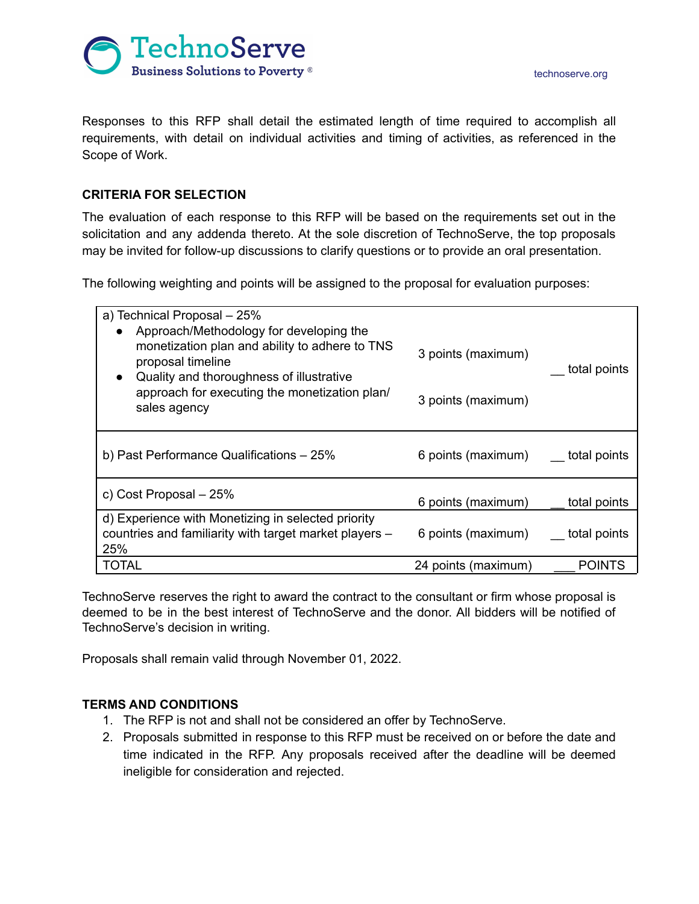

technoserve.org

Responses to this RFP shall detail the estimated length of time required to accomplish all requirements, with detail on individual activities and timing of activities, as referenced in the Scope of Work.

# **CRITERIA FOR SELECTION**

The evaluation of each response to this RFP will be based on the requirements set out in the solicitation and any addenda thereto. At the sole discretion of TechnoServe, the top proposals may be invited for follow-up discussions to clarify questions or to provide an oral presentation.

The following weighting and points will be assigned to the proposal for evaluation purposes:

| a) Technical Proposal - 25%<br>Approach/Methodology for developing the<br>monetization plan and ability to adhere to TNS<br>proposal timeline<br>Quality and thoroughness of illustrative<br>$\bullet$<br>approach for executing the monetization plan/<br>sales agency | 3 points (maximum)<br>3 points (maximum) | total points  |
|-------------------------------------------------------------------------------------------------------------------------------------------------------------------------------------------------------------------------------------------------------------------------|------------------------------------------|---------------|
| b) Past Performance Qualifications - 25%                                                                                                                                                                                                                                | 6 points (maximum)                       | total points  |
| c) Cost Proposal - 25%                                                                                                                                                                                                                                                  | 6 points (maximum)                       | total points  |
| d) Experience with Monetizing in selected priority<br>countries and familiarity with target market players -<br>25%                                                                                                                                                     | 6 points (maximum)                       | total points  |
| <b>TOTAL</b>                                                                                                                                                                                                                                                            | 24 points (maximum)                      | <b>POINTS</b> |

TechnoServe reserves the right to award the contract to the consultant or firm whose proposal is deemed to be in the best interest of TechnoServe and the donor. All bidders will be notified of TechnoServe's decision in writing.

Proposals shall remain valid through November 01, 2022.

# **TERMS AND CONDITIONS**

- 1. The RFP is not and shall not be considered an offer by TechnoServe.
- 2. Proposals submitted in response to this RFP must be received on or before the date and time indicated in the RFP. Any proposals received after the deadline will be deemed ineligible for consideration and rejected.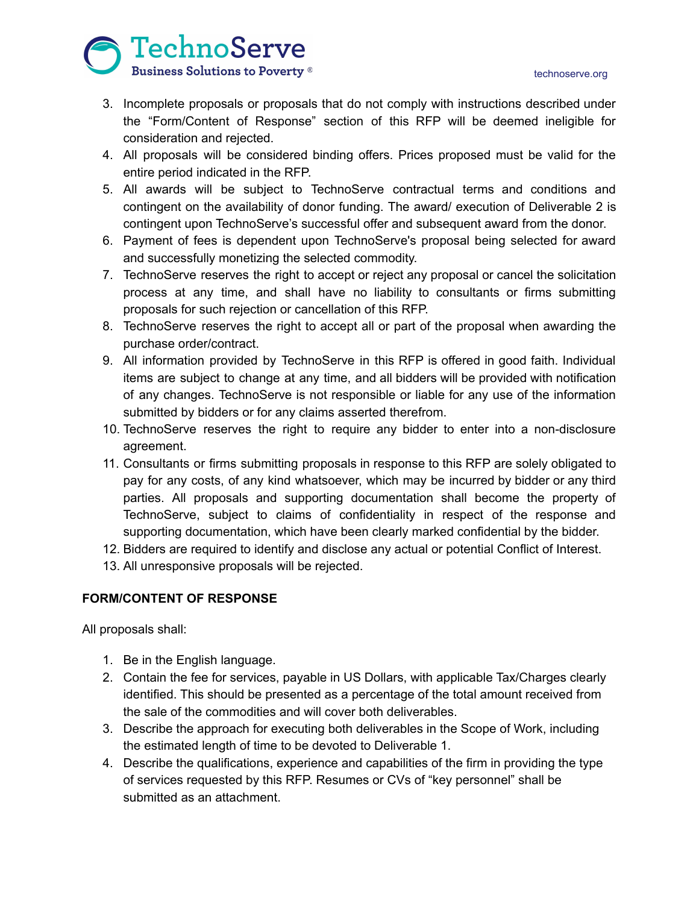

- 3. Incomplete proposals or proposals that do not comply with instructions described under the "Form/Content of Response" section of this RFP will be deemed ineligible for consideration and rejected.
- 4. All proposals will be considered binding offers. Prices proposed must be valid for the entire period indicated in the RFP.
- 5. All awards will be subject to TechnoServe contractual terms and conditions and contingent on the availability of donor funding. The award/ execution of Deliverable 2 is contingent upon TechnoServe's successful offer and subsequent award from the donor.
- 6. Payment of fees is dependent upon TechnoServe's proposal being selected for award and successfully monetizing the selected commodity.
- 7. TechnoServe reserves the right to accept or reject any proposal or cancel the solicitation process at any time, and shall have no liability to consultants or firms submitting proposals for such rejection or cancellation of this RFP.
- 8. TechnoServe reserves the right to accept all or part of the proposal when awarding the purchase order/contract.
- 9. All information provided by TechnoServe in this RFP is offered in good faith. Individual items are subject to change at any time, and all bidders will be provided with notification of any changes. TechnoServe is not responsible or liable for any use of the information submitted by bidders or for any claims asserted therefrom.
- 10. TechnoServe reserves the right to require any bidder to enter into a non-disclosure agreement.
- 11. Consultants or firms submitting proposals in response to this RFP are solely obligated to pay for any costs, of any kind whatsoever, which may be incurred by bidder or any third parties. All proposals and supporting documentation shall become the property of TechnoServe, subject to claims of confidentiality in respect of the response and supporting documentation, which have been clearly marked confidential by the bidder.
- 12. Bidders are required to identify and disclose any actual or potential Conflict of Interest.
- 13. All unresponsive proposals will be rejected.

# **FORM/CONTENT OF RESPONSE**

All proposals shall:

- 1. Be in the English language.
- 2. Contain the fee for services, payable in US Dollars, with applicable Tax/Charges clearly identified. This should be presented as a percentage of the total amount received from the sale of the commodities and will cover both deliverables.
- 3. Describe the approach for executing both deliverables in the Scope of Work, including the estimated length of time to be devoted to Deliverable 1.
- 4. Describe the qualifications, experience and capabilities of the firm in providing the type of services requested by this RFP. Resumes or CVs of "key personnel" shall be submitted as an attachment.